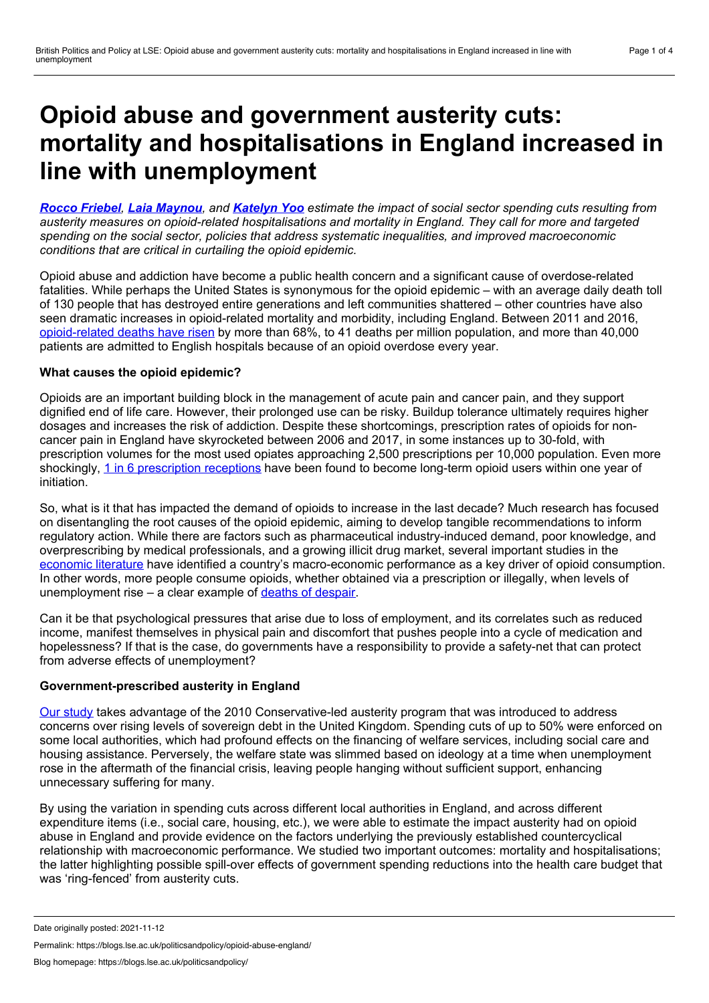# <span id="page-0-0"></span>**Opioid abuse and government austerity cuts: mortality and hospitalisations in England increased in line with unemployment**

Rocco [Friebel](#page-0-0), Laia [Maynou](#page-0-0), and [Katelyn](#page-0-0) Yoo estimate the impact of social sector spending cuts resulting from *austerity measures on opioid-related hospitalisations and mortality in England. They call for more and targeted spending on the social sector, policies that address systematic inequalities, and improved macroeconomic conditions that are critical in curtailing the opioid epidemic.*

Opioid abuse and addiction have become a public health concern and a significant cause of overdose-related fatalities. While perhaps the United States is synonymous for the opioid epidemic – with an average daily death toll of 130 people that has destroyed entire generations and left communities shattered – other countries have also seen dramatic increases in opioid-related mortality and morbidity, including England. Between 2011 and 2016, [opioid-related](https://www.oecd.org/health/addressing-problematic-opioid-use-in-oecd-countries-a18286f0-en.htm) deaths have risen by more than 68%, to 41 deaths per million population, and more than 40,000 patients are admitted to English hospitals because of an opioid overdose every year.

## **What causes the opioid epidemic?**

Opioids are an important building block in the management of acute pain and cancer pain, and they support dignified end of life care. However, their prolonged use can be risky. Buildup tolerance ultimately requires higher dosages and increases the risk of addiction. Despite these shortcomings, prescription rates of opioids for non cancer pain in England have skyrocketed between 2006 and 2017, in some instances up to 30-fold, with prescription volumes for the most used opiates approaching 2,500 prescriptions per 10,000 population. Even more shockingly, 1 in 6 [prescription](https://journals.plos.org/plosmedicine/article?id=10.1371/journal.pmed.1003270) receptions have been found to become long-term opioid users within one year of initiation.

So, what is it that has impacted the demand of opioids to increase in the last decade? Much research has focused on disentangling the root causes of the opioid epidemic, aiming to develop tangible recommendations to inform regulatory action. While there are factors such as pharmaceutical industry-induced demand, poor knowledge, and overprescribing by medical professionals, and a growing illicit drug market, several important studies in the [economic](https://www.sciencedirect.com/science/article/abs/pii/S0167629617303387) literature have identified a country's macro-economic performance as a key driver of opioid consumption. In other words, more people consume opioids, whether obtained via a prescription or illegally, when levels of unemployment rise – a clear example of deaths of [despair](https://www.pnas.org/content/112/49/15078).

Can it be that psychological pressures that arise due to loss of employment, and its correlates such as reduced income, manifest themselves in physical pain and discomfort that pushes people into a cycle of medication and hopelessness? If that is the case, do governments have a responsibility to provide a safety-net that can protect from adverse effects of unemployment?

## **Government-prescribed austerity in England**

Our [study](https://www.sciencedirect.com/science/article/pii/S0277953621008431#bib43) takes advantage of the 2010 Conservative-led austerity program that was introduced to address concerns over rising levels of sovereign debt in the United Kingdom. Spending cuts of up to 50% were enforced on some local authorities, which had profound effects on the financing of welfare services, including social care and housing assistance. Perversely, the welfare state was slimmed based on ideology at a time when unemployment rose in the aftermath of the financial crisis, leaving people hanging without sufficient support, enhancing unnecessary suffering for many.

By using the variation in spending cuts across different local authorities in England, and across different expenditure items (i.e., social care, housing, etc.), we were able to estimate the impact austerity had on opioid abuse in England and provide evidence on the factors underlying the previously established countercyclical relationship with macroeconomic performance. We studied two important outcomes: mortality and hospitalisations; the latter highlighting possible spill-over effects of government spending reductions into the health care budget that was 'ring-fenced' from austerity cuts.

Permalink: https://blogs.lse.ac.uk/politicsandpolicy/opioid-abuse-england/

Date originally posted: 2021-11-12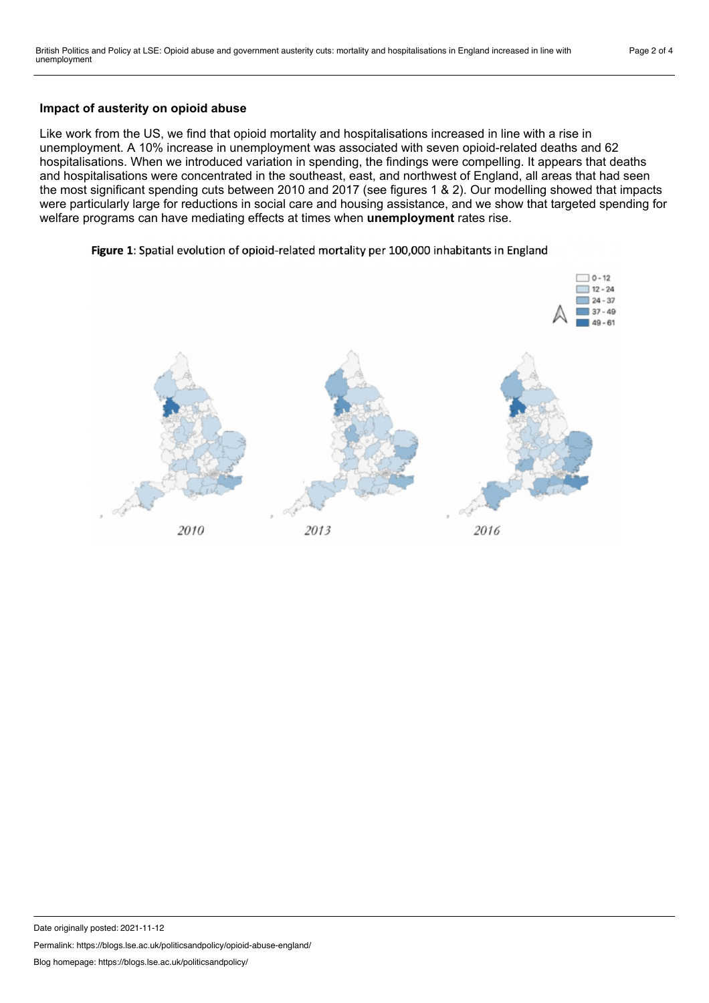### **Impact of austerity on opioid abuse**

Like work from the US, we find that opioid mortality and hospitalisations increased in line with a rise in unemployment. A 10% increase in unemployment was associated with seven opioid-related deaths and 62 hospitalisations. When we introduced variation in spending, the findings were compelling. It appears that deaths and hospitalisations were concentrated in the southeast, east, and northwest of England, all areas that had seen the most significant spending cuts between 2010 and 2017 (see figures 1 & 2). Our modelling showed that impacts were particularly large for reductions in social care and housing assistance, and we show that targeted spending for welfare programs can have mediating effects at times when **unemployment** rates rise.

#### Figure 1: Spatial evolution of opioid-related mortality per 100,000 inhabitants in England



Permalink: https://blogs.lse.ac.uk/politicsandpolicy/opioid-abuse-england/

Date originally posted: 2021-11-12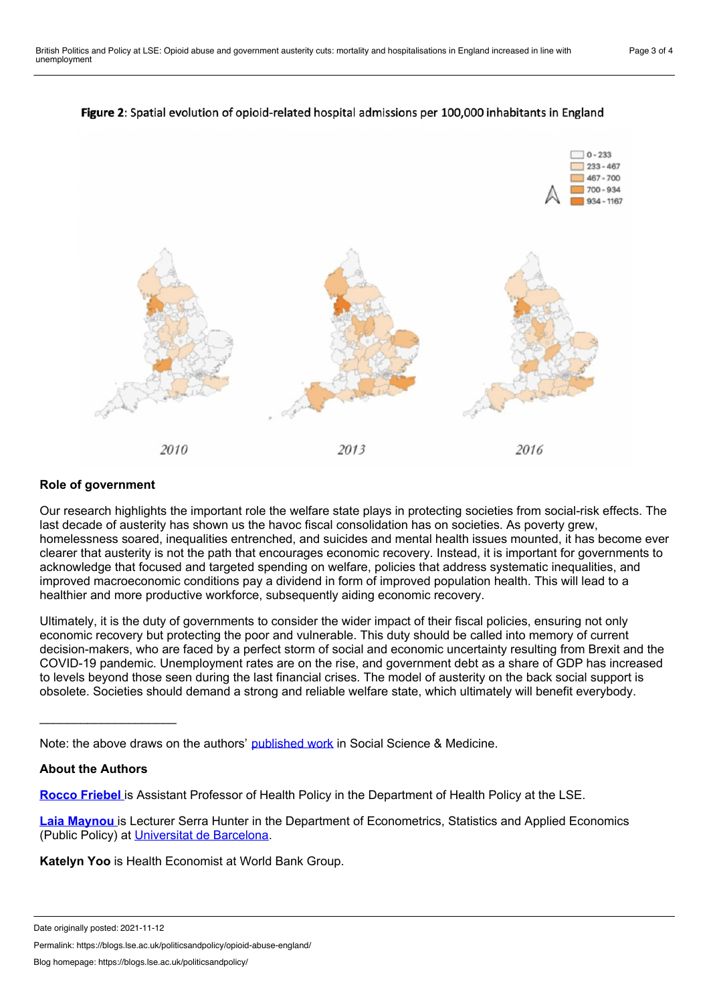

# Figure 2: Spatial evolution of opioid-related hospital admissions per 100,000 inhabitants in England

## **Role of government**

Our research highlights the important role the welfare state plays in protecting societies from social-risk effects. The last decade of austerity has shown us the havoc fiscal consolidation has on societies. As poverty grew, homelessness soared, inequalities entrenched, and suicides and mental health issues mounted, it has become ever clearer that austerity is not the path that encourages economic recovery. Instead, it is important for governments to acknowledge that focused and targeted spending on welfare, policies that address systematic inequalities, and improved macroeconomic conditions pay a dividend in form of improved population health. This will lead to a healthier and more productive workforce, subsequently aiding economic recovery.

Ultimately, it is the duty of governments to consider the wider impact of their fiscal policies, ensuring not only economic recovery but protecting the poor and vulnerable. This duty should be called into memory of current decision-makers, who are faced by a perfect storm of social and economic uncertainty resulting from Brexit and the COVID-19 pandemic. Unemployment rates are on the rise, and government debt as a share of GDP has increased to levels beyond those seen during the last financial crises. The model of austerity on the back social support is obsolete. Societies should demand a strong and reliable welfare state, which ultimately will benefit everybody.

Note: the above draws on the authors' [published](https://www.sciencedirect.com/science/article/pii/S0277953621008431#bib43) work in Social Science & Medicine.

#### **About the Authors**

\_\_\_\_\_\_\_\_\_\_\_\_\_\_\_\_\_\_\_\_

**Rocco [Friebel](https://www.lse.ac.uk/health-policy/people/dr-rocco-friebel)** is Assistant Professor of Health Policy in the Department of Health Policy at the LSE.

**Laia [Maynou](https://www.laiamaynou.com/)** is Lecturer Serra Hunter in the Department of Econometrics, Statistics and Applied Economics (Public Policy) at [Universitat](https://www.ub.edu/web/portal/en/) de Barcelona.

**Katelyn Yoo** is Health Economist at World Bank Group.

Permalink: https://blogs.lse.ac.uk/politicsandpolicy/opioid-abuse-england/

Date originally posted: 2021-11-12